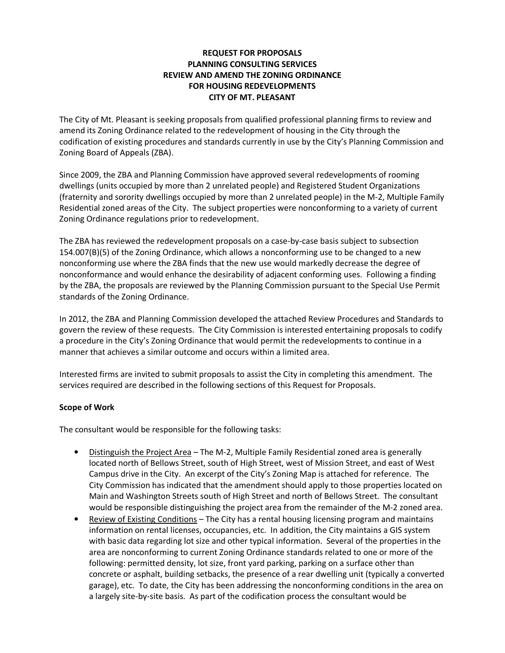#### REQUEST FOR PROPOSALS PLANNING CONSULTING SERVICES REVIEW AND AMEND THE ZONING ORDINANCE FOR HOUSING REDEVELOPMENTS CITY OF MT. PLEASANT

The City of Mt. Pleasant is seeking proposals from qualified professional planning firms to review and amend its Zoning Ordinance related to the redevelopment of housing in the City through the codification of existing procedures and standards currently in use by the City's Planning Commission and Zoning Board of Appeals (ZBA).

Since 2009, the ZBA and Planning Commission have approved several redevelopments of rooming dwellings (units occupied by more than 2 unrelated people) and Registered Student Organizations (fraternity and sorority dwellings occupied by more than 2 unrelated people) in the M-2, Multiple Family Residential zoned areas of the City. The subject properties were nonconforming to a variety of current Zoning Ordinance regulations prior to redevelopment.

The ZBA has reviewed the redevelopment proposals on a case-by-case basis subject to subsection 154.007(B)(5) of the Zoning Ordinance, which allows a nonconforming use to be changed to a new nonconforming use where the ZBA finds that the new use would markedly decrease the degree of nonconformance and would enhance the desirability of adjacent conforming uses. Following a finding by the ZBA, the proposals are reviewed by the Planning Commission pursuant to the Special Use Permit standards of the Zoning Ordinance.

In 2012, the ZBA and Planning Commission developed the attached Review Procedures and Standards to govern the review of these requests. The City Commission is interested entertaining proposals to codify a procedure in the City's Zoning Ordinance that would permit the redevelopments to continue in a manner that achieves a similar outcome and occurs within a limited area.

Interested firms are invited to submit proposals to assist the City in completing this amendment. The services required are described in the following sections of this Request for Proposals.

## Scope of Work

The consultant would be responsible for the following tasks:

- Distinguish the Project Area The M-2, Multiple Family Residential zoned area is generally located north of Bellows Street, south of High Street, west of Mission Street, and east of West Campus drive in the City. An excerpt of the City's Zoning Map is attached for reference. The City Commission has indicated that the amendment should apply to those properties located on Main and Washington Streets south of High Street and north of Bellows Street. The consultant would be responsible distinguishing the project area from the remainder of the M-2 zoned area.
- Review of Existing Conditions The City has a rental housing licensing program and maintains information on rental licenses, occupancies, etc. In addition, the City maintains a GIS system with basic data regarding lot size and other typical information. Several of the properties in the area are nonconforming to current Zoning Ordinance standards related to one or more of the following: permitted density, lot size, front yard parking, parking on a surface other than concrete or asphalt, building setbacks, the presence of a rear dwelling unit (typically a converted garage), etc. To date, the City has been addressing the nonconforming conditions in the area on a largely site-by-site basis. As part of the codification process the consultant would be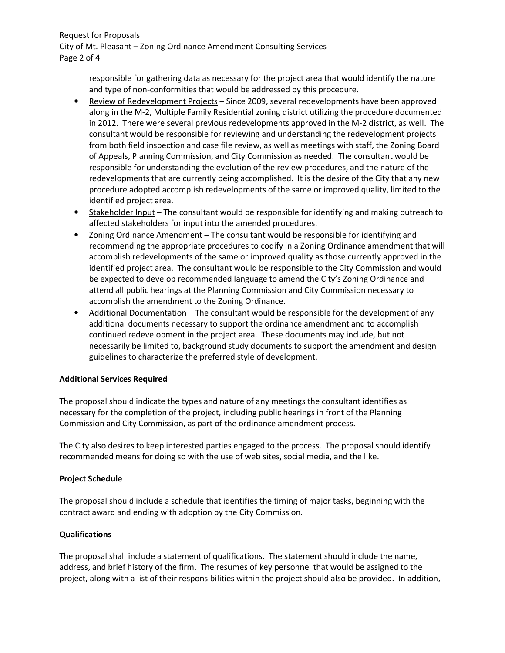Request for Proposals City of Mt. Pleasant – Zoning Ordinance Amendment Consulting Services Page 2 of 4

> responsible for gathering data as necessary for the project area that would identify the nature and type of non-conformities that would be addressed by this procedure.

- Review of Redevelopment Projects Since 2009, several redevelopments have been approved along in the M-2, Multiple Family Residential zoning district utilizing the procedure documented in 2012. There were several previous redevelopments approved in the M-2 district, as well. The consultant would be responsible for reviewing and understanding the redevelopment projects from both field inspection and case file review, as well as meetings with staff, the Zoning Board of Appeals, Planning Commission, and City Commission as needed. The consultant would be responsible for understanding the evolution of the review procedures, and the nature of the redevelopments that are currently being accomplished. It is the desire of the City that any new procedure adopted accomplish redevelopments of the same or improved quality, limited to the identified project area.
- Stakeholder Input The consultant would be responsible for identifying and making outreach to affected stakeholders for input into the amended procedures.
- Zoning Ordinance Amendment The consultant would be responsible for identifying and recommending the appropriate procedures to codify in a Zoning Ordinance amendment that will accomplish redevelopments of the same or improved quality as those currently approved in the identified project area. The consultant would be responsible to the City Commission and would be expected to develop recommended language to amend the City's Zoning Ordinance and attend all public hearings at the Planning Commission and City Commission necessary to accomplish the amendment to the Zoning Ordinance.
- Additional Documentation The consultant would be responsible for the development of any additional documents necessary to support the ordinance amendment and to accomplish continued redevelopment in the project area. These documents may include, but not necessarily be limited to, background study documents to support the amendment and design guidelines to characterize the preferred style of development.

#### Additional Services Required

The proposal should indicate the types and nature of any meetings the consultant identifies as necessary for the completion of the project, including public hearings in front of the Planning Commission and City Commission, as part of the ordinance amendment process.

The City also desires to keep interested parties engaged to the process. The proposal should identify recommended means for doing so with the use of web sites, social media, and the like.

#### Project Schedule

The proposal should include a schedule that identifies the timing of major tasks, beginning with the contract award and ending with adoption by the City Commission.

#### Qualifications

The proposal shall include a statement of qualifications. The statement should include the name, address, and brief history of the firm. The resumes of key personnel that would be assigned to the project, along with a list of their responsibilities within the project should also be provided. In addition,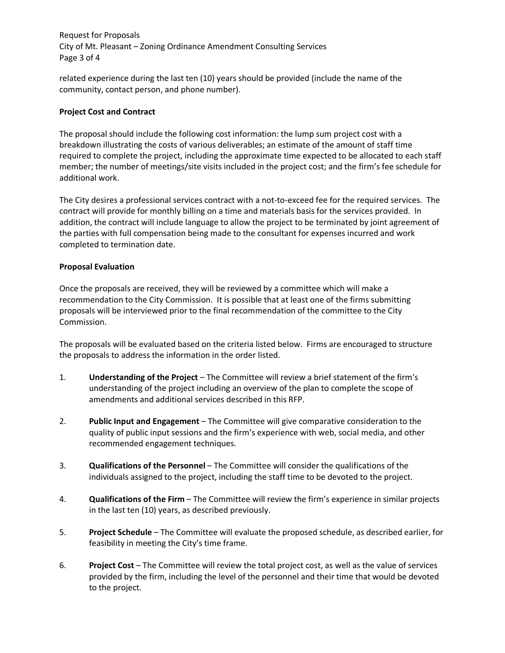Request for Proposals City of Mt. Pleasant – Zoning Ordinance Amendment Consulting Services Page 3 of 4

related experience during the last ten (10) years should be provided (include the name of the community, contact person, and phone number).

#### Project Cost and Contract

The proposal should include the following cost information: the lump sum project cost with a breakdown illustrating the costs of various deliverables; an estimate of the amount of staff time required to complete the project, including the approximate time expected to be allocated to each staff member; the number of meetings/site visits included in the project cost; and the firm's fee schedule for additional work.

The City desires a professional services contract with a not-to-exceed fee for the required services. The contract will provide for monthly billing on a time and materials basis for the services provided. In addition, the contract will include language to allow the project to be terminated by joint agreement of the parties with full compensation being made to the consultant for expenses incurred and work completed to termination date.

#### Proposal Evaluation

Once the proposals are received, they will be reviewed by a committee which will make a recommendation to the City Commission. It is possible that at least one of the firms submitting proposals will be interviewed prior to the final recommendation of the committee to the City Commission.

The proposals will be evaluated based on the criteria listed below. Firms are encouraged to structure the proposals to address the information in the order listed.

- 1. Understanding of the Project The Committee will review a brief statement of the firm's understanding of the project including an overview of the plan to complete the scope of amendments and additional services described in this RFP.
- 2. Public Input and Engagement The Committee will give comparative consideration to the quality of public input sessions and the firm's experience with web, social media, and other recommended engagement techniques.
- 3. Qualifications of the Personnel The Committee will consider the qualifications of the individuals assigned to the project, including the staff time to be devoted to the project.
- 4. **Qualifications of the Firm** The Committee will review the firm's experience in similar projects in the last ten (10) years, as described previously.
- 5. Project Schedule The Committee will evaluate the proposed schedule, as described earlier, for feasibility in meeting the City's time frame.
- 6. Project Cost The Committee will review the total project cost, as well as the value of services provided by the firm, including the level of the personnel and their time that would be devoted to the project.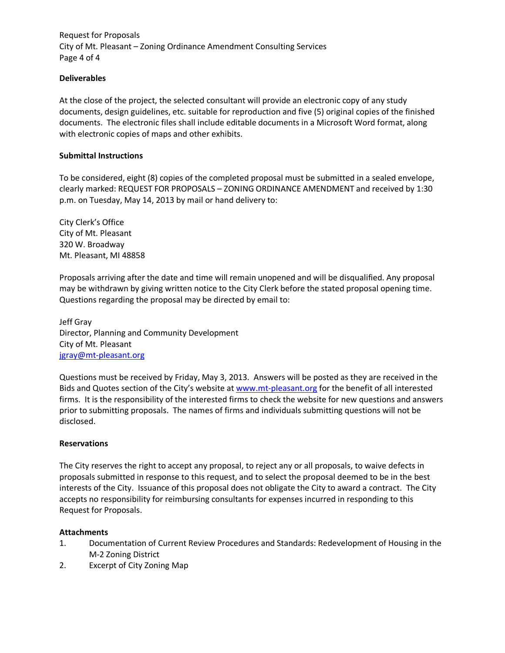Request for Proposals City of Mt. Pleasant – Zoning Ordinance Amendment Consulting Services Page 4 of 4

#### Deliverables

At the close of the project, the selected consultant will provide an electronic copy of any study documents, design guidelines, etc. suitable for reproduction and five (5) original copies of the finished documents. The electronic files shall include editable documents in a Microsoft Word format, along with electronic copies of maps and other exhibits.

#### Submittal Instructions

To be considered, eight (8) copies of the completed proposal must be submitted in a sealed envelope, clearly marked: REQUEST FOR PROPOSALS – ZONING ORDINANCE AMENDMENT and received by 1:30 p.m. on Tuesday, May 14, 2013 by mail or hand delivery to:

City Clerk's Office City of Mt. Pleasant 320 W. Broadway Mt. Pleasant, MI 48858

Proposals arriving after the date and time will remain unopened and will be disqualified. Any proposal may be withdrawn by giving written notice to the City Clerk before the stated proposal opening time. Questions regarding the proposal may be directed by email to:

Jeff Gray Director, Planning and Community Development City of Mt. Pleasant jgray@mt-pleasant.org

Questions must be received by Friday, May 3, 2013. Answers will be posted as they are received in the Bids and Quotes section of the City's website at www.mt-pleasant.org for the benefit of all interested firms. It is the responsibility of the interested firms to check the website for new questions and answers prior to submitting proposals. The names of firms and individuals submitting questions will not be disclosed.

#### Reservations

The City reserves the right to accept any proposal, to reject any or all proposals, to waive defects in proposals submitted in response to this request, and to select the proposal deemed to be in the best interests of the City. Issuance of this proposal does not obligate the City to award a contract. The City accepts no responsibility for reimbursing consultants for expenses incurred in responding to this Request for Proposals.

#### Attachments

- 1. Documentation of Current Review Procedures and Standards: Redevelopment of Housing in the M-2 Zoning District
- 2. Excerpt of City Zoning Map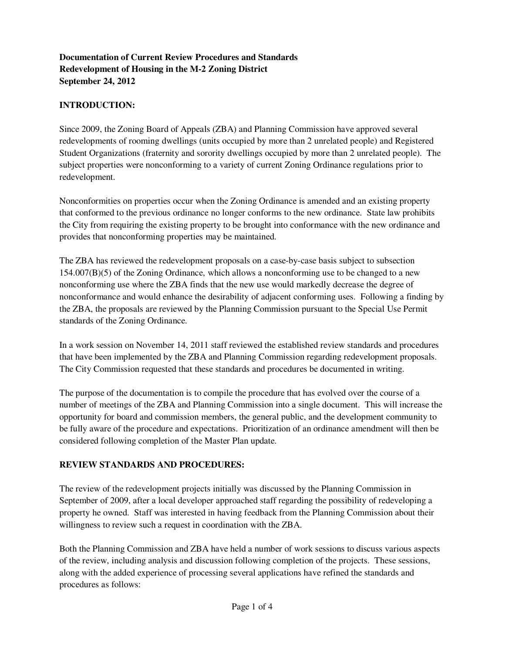# **Documentation of Current Review Procedures and Standards Redevelopment of Housing in the M-2 Zoning District September 24, 2012**

# **INTRODUCTION:**

Since 2009, the Zoning Board of Appeals (ZBA) and Planning Commission have approved several redevelopments of rooming dwellings (units occupied by more than 2 unrelated people) and Registered Student Organizations (fraternity and sorority dwellings occupied by more than 2 unrelated people). The subject properties were nonconforming to a variety of current Zoning Ordinance regulations prior to redevelopment.

Nonconformities on properties occur when the Zoning Ordinance is amended and an existing property that conformed to the previous ordinance no longer conforms to the new ordinance. State law prohibits the City from requiring the existing property to be brought into conformance with the new ordinance and provides that nonconforming properties may be maintained.

The ZBA has reviewed the redevelopment proposals on a case-by-case basis subject to subsection  $154.007(B)(5)$  of the Zoning Ordinance, which allows a nonconforming use to be changed to a new nonconforming use where the ZBA finds that the new use would markedly decrease the degree of nonconformance and would enhance the desirability of adjacent conforming uses. Following a finding by the ZBA, the proposals are reviewed by the Planning Commission pursuant to the Special Use Permit standards of the Zoning Ordinance.

In a work session on November 14, 2011 staff reviewed the established review standards and procedures that have been implemented by the ZBA and Planning Commission regarding redevelopment proposals. The City Commission requested that these standards and procedures be documented in writing.

The purpose of the documentation is to compile the procedure that has evolved over the course of a number of meetings of the ZBA and Planning Commission into a single document. This will increase the opportunity for board and commission members, the general public, and the development community to be fully aware of the procedure and expectations. Prioritization of an ordinance amendment will then be considered following completion of the Master Plan update.

## **REVIEW STANDARDS AND PROCEDURES:**

The review of the redevelopment projects initially was discussed by the Planning Commission in September of 2009, after a local developer approached staff regarding the possibility of redeveloping a property he owned. Staff was interested in having feedback from the Planning Commission about their willingness to review such a request in coordination with the ZBA.

Both the Planning Commission and ZBA have held a number of work sessions to discuss various aspects of the review, including analysis and discussion following completion of the projects. These sessions, along with the added experience of processing several applications have refined the standards and procedures as follows: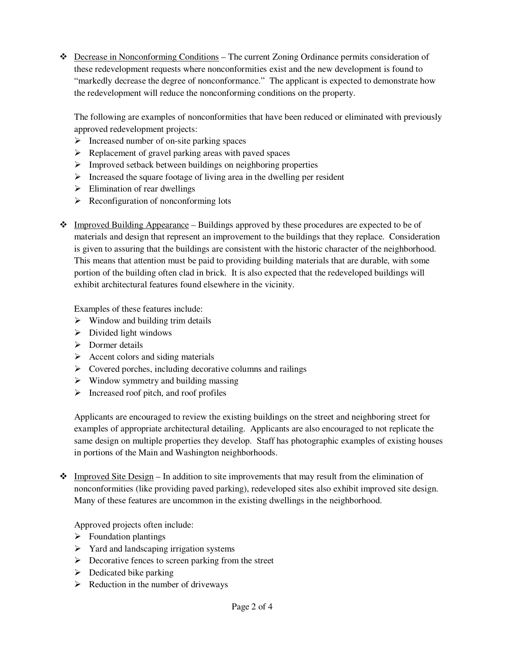Decrease in Nonconforming Conditions – The current Zoning Ordinance permits consideration of these redevelopment requests where nonconformities exist and the new development is found to "markedly decrease the degree of nonconformance." The applicant is expected to demonstrate how the redevelopment will reduce the nonconforming conditions on the property.

The following are examples of nonconformities that have been reduced or eliminated with previously approved redevelopment projects:

- > Increased number of on-site parking spaces
- > Replacement of gravel parking areas with paved spaces
- > Improved setback between buildings on neighboring properties
- > Increased the square footage of living area in the dwelling per resident
- > Elimination of rear dwellings
- Reconfiguration of nonconforming lots
- Improved Building Appearance Buildings approved by these procedures are expected to be of materials and design that represent an improvement to the buildings that they replace. Consideration is given to assuring that the buildings are consistent with the historic character of the neighborhood. This means that attention must be paid to providing building materials that are durable, with some portion of the building often clad in brick. It is also expected that the redeveloped buildings will exhibit architectural features found elsewhere in the vicinity.

Examples of these features include:

- > Window and building trim details
- > Divided light windows
- > Dormer details
- > Accent colors and siding materials
- Covered porches, including decorative columns and railings
- Window symmetry and building massing
- > Increased roof pitch, and roof profiles

Applicants are encouraged to review the existing buildings on the street and neighboring street for examples of appropriate architectural detailing. Applicants are also encouraged to not replicate the same design on multiple properties they develop. Staff has photographic examples of existing houses in portions of the Main and Washington neighborhoods.

 $\triangle$  Improved Site Design – In addition to site improvements that may result from the elimination of nonconformities (like providing paved parking), redeveloped sites also exhibit improved site design. Many of these features are uncommon in the existing dwellings in the neighborhood.

Approved projects often include:

- > Foundation plantings
- > Yard and landscaping irrigation systems
- > Decorative fences to screen parking from the street
- > Dedicated bike parking
- Reduction in the number of driveways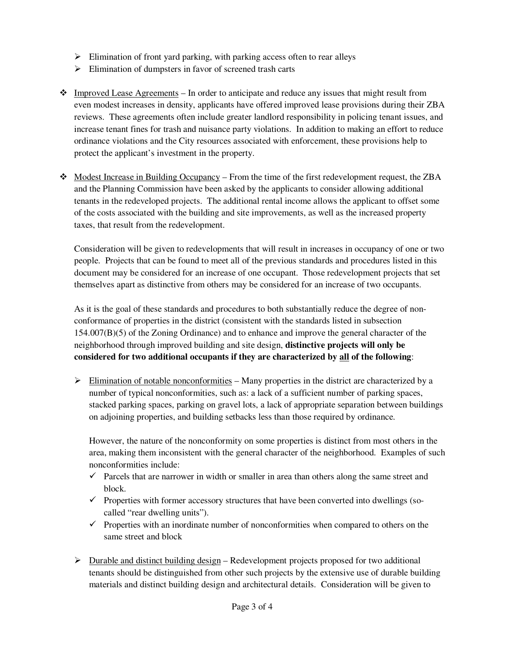- > Elimination of front yard parking, with parking access often to rear alleys
- > Elimination of dumpsters in favor of screened trash carts
- $\bullet$  Improved Lease Agreements In order to anticipate and reduce any issues that might result from even modest increases in density, applicants have offered improved lease provisions during their ZBA reviews. These agreements often include greater landlord responsibility in policing tenant issues, and increase tenant fines for trash and nuisance party violations. In addition to making an effort to reduce ordinance violations and the City resources associated with enforcement, these provisions help to protect the applicant's investment in the property.
- Modest Increase in Building Occupancy From the time of the first redevelopment request, the ZBA and the Planning Commission have been asked by the applicants to consider allowing additional tenants in the redeveloped projects. The additional rental income allows the applicant to offset some of the costs associated with the building and site improvements, as well as the increased property taxes, that result from the redevelopment.

Consideration will be given to redevelopments that will result in increases in occupancy of one or two people. Projects that can be found to meet all of the previous standards and procedures listed in this document may be considered for an increase of one occupant. Those redevelopment projects that set themselves apart as distinctive from others may be considered for an increase of two occupants.

As it is the goal of these standards and procedures to both substantially reduce the degree of nonconformance of properties in the district (consistent with the standards listed in subsection 154.007(B)(5) of the Zoning Ordinance) and to enhance and improve the general character of the neighborhood through improved building and site design, **distinctive projects will only be considered for two additional occupants if they are characterized by all of the following**:

> Elimination of notable nonconformities - Many properties in the district are characterized by a number of typical nonconformities, such as: a lack of a sufficient number of parking spaces, stacked parking spaces, parking on gravel lots, a lack of appropriate separation between buildings on adjoining properties, and building setbacks less than those required by ordinance.

However, the nature of the nonconformity on some properties is distinct from most others in the area, making them inconsistent with the general character of the neighborhood. Examples of such nonconformities include:

- $\checkmark$  Parcels that are narrower in width or smaller in area than others along the same street and block.
- $\checkmark$  Properties with former accessory structures that have been converted into dwellings (socalled "rear dwelling units").
- $\checkmark$  Properties with an inordinate number of nonconformities when compared to others on the same street and block
- > Durable and distinct building design Redevelopment projects proposed for two additional tenants should be distinguished from other such projects by the extensive use of durable building materials and distinct building design and architectural details. Consideration will be given to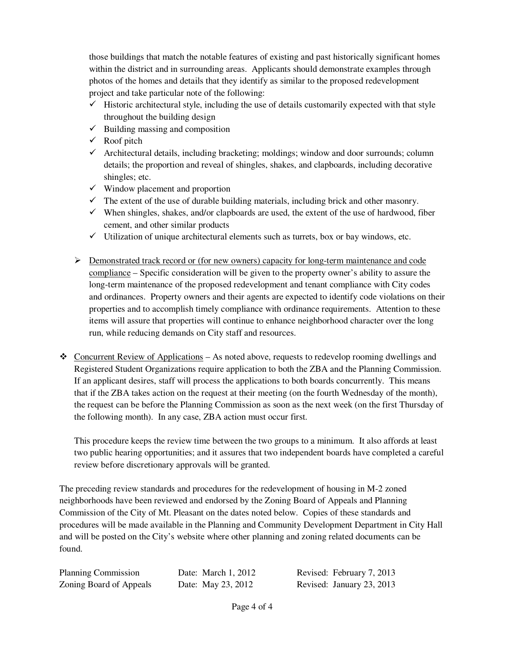those buildings that match the notable features of existing and past historically significant homes within the district and in surrounding areas. Applicants should demonstrate examples through photos of the homes and details that they identify as similar to the proposed redevelopment project and take particular note of the following:

- $\checkmark$  Historic architectural style, including the use of details customarily expected with that style throughout the building design
- $\checkmark$  Building massing and composition
- $\checkmark$  Roof pitch
- $\checkmark$  Architectural details, including bracketing; moldings; window and door surrounds; column details; the proportion and reveal of shingles, shakes, and clapboards, including decorative shingles; etc.
- $\checkmark$  Window placement and proportion
- $\checkmark$  The extent of the use of durable building materials, including brick and other masonry.
- $\checkmark$  When shingles, shakes, and/or clapboards are used, the extent of the use of hardwood, fiber cement, and other similar products
- $\checkmark$  Utilization of unique architectural elements such as turrets, box or bay windows, etc.
- > Demonstrated track record or (for new owners) capacity for long-term maintenance and code compliance – Specific consideration will be given to the property owner's ability to assure the long-term maintenance of the proposed redevelopment and tenant compliance with City codes and ordinances. Property owners and their agents are expected to identify code violations on their properties and to accomplish timely compliance with ordinance requirements. Attention to these items will assure that properties will continue to enhance neighborhood character over the long run, while reducing demands on City staff and resources.
- $\triangle$  Concurrent Review of Applications As noted above, requests to redevelop rooming dwellings and Registered Student Organizations require application to both the ZBA and the Planning Commission. If an applicant desires, staff will process the applications to both boards concurrently. This means that if the ZBA takes action on the request at their meeting (on the fourth Wednesday of the month), the request can be before the Planning Commission as soon as the next week (on the first Thursday of the following month). In any case, ZBA action must occur first.

This procedure keeps the review time between the two groups to a minimum. It also affords at least two public hearing opportunities; and it assures that two independent boards have completed a careful review before discretionary approvals will be granted.

The preceding review standards and procedures for the redevelopment of housing in M-2 zoned neighborhoods have been reviewed and endorsed by the Zoning Board of Appeals and Planning Commission of the City of Mt. Pleasant on the dates noted below. Copies of these standards and procedures will be made available in the Planning and Community Development Department in City Hall and will be posted on the City's website where other planning and zoning related documents can be found.

| <b>Planning Commission</b> | Date: March 1, 2012 | Revised: February 7, 2013 |
|----------------------------|---------------------|---------------------------|
| Zoning Board of Appeals    | Date: May 23, 2012  | Revised: January 23, 2013 |